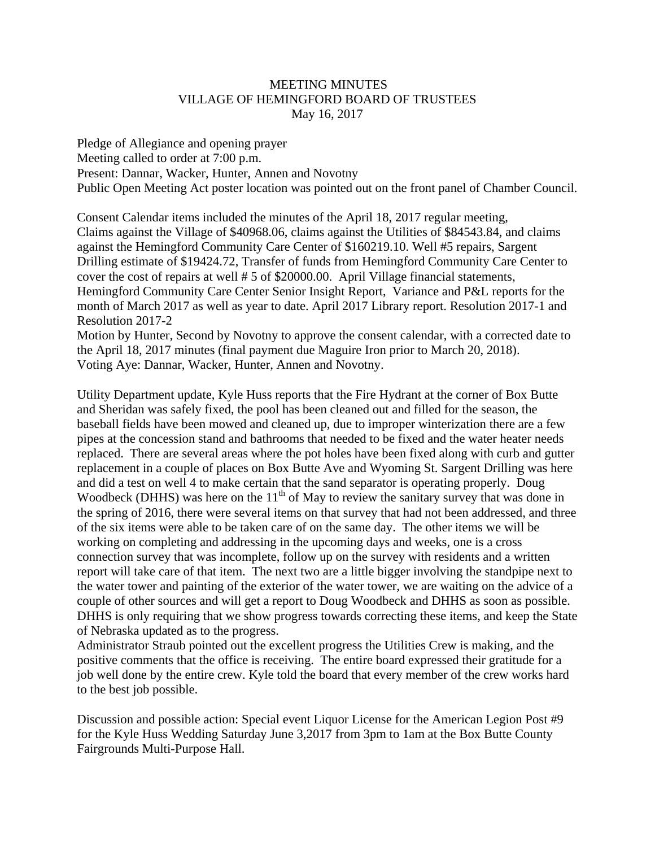## MEETING MINUTES VILLAGE OF HEMINGFORD BOARD OF TRUSTEES May 16, 2017

Pledge of Allegiance and opening prayer Meeting called to order at 7:00 p.m. Present: Dannar, Wacker, Hunter, Annen and Novotny Public Open Meeting Act poster location was pointed out on the front panel of Chamber Council.

Consent Calendar items included the minutes of the April 18, 2017 regular meeting, Claims against the Village of \$40968.06, claims against the Utilities of \$84543.84, and claims against the Hemingford Community Care Center of \$160219.10. Well #5 repairs, Sargent Drilling estimate of \$19424.72, Transfer of funds from Hemingford Community Care Center to cover the cost of repairs at well # 5 of \$20000.00. April Village financial statements, Hemingford Community Care Center Senior Insight Report, Variance and P&L reports for the month of March 2017 as well as year to date. April 2017 Library report. Resolution 2017-1 and Resolution 2017-2

Motion by Hunter, Second by Novotny to approve the consent calendar, with a corrected date to the April 18, 2017 minutes (final payment due Maguire Iron prior to March 20, 2018). Voting Aye: Dannar, Wacker, Hunter, Annen and Novotny.

Utility Department update, Kyle Huss reports that the Fire Hydrant at the corner of Box Butte and Sheridan was safely fixed, the pool has been cleaned out and filled for the season, the baseball fields have been mowed and cleaned up, due to improper winterization there are a few pipes at the concession stand and bathrooms that needed to be fixed and the water heater needs replaced. There are several areas where the pot holes have been fixed along with curb and gutter replacement in a couple of places on Box Butte Ave and Wyoming St. Sargent Drilling was here and did a test on well 4 to make certain that the sand separator is operating properly. Doug Woodbeck (DHHS) was here on the  $11<sup>th</sup>$  of May to review the sanitary survey that was done in the spring of 2016, there were several items on that survey that had not been addressed, and three of the six items were able to be taken care of on the same day. The other items we will be working on completing and addressing in the upcoming days and weeks, one is a cross connection survey that was incomplete, follow up on the survey with residents and a written report will take care of that item. The next two are a little bigger involving the standpipe next to the water tower and painting of the exterior of the water tower, we are waiting on the advice of a couple of other sources and will get a report to Doug Woodbeck and DHHS as soon as possible. DHHS is only requiring that we show progress towards correcting these items, and keep the State of Nebraska updated as to the progress.

Administrator Straub pointed out the excellent progress the Utilities Crew is making, and the positive comments that the office is receiving. The entire board expressed their gratitude for a job well done by the entire crew. Kyle told the board that every member of the crew works hard to the best job possible.

Discussion and possible action: Special event Liquor License for the American Legion Post #9 for the Kyle Huss Wedding Saturday June 3,2017 from 3pm to 1am at the Box Butte County Fairgrounds Multi-Purpose Hall.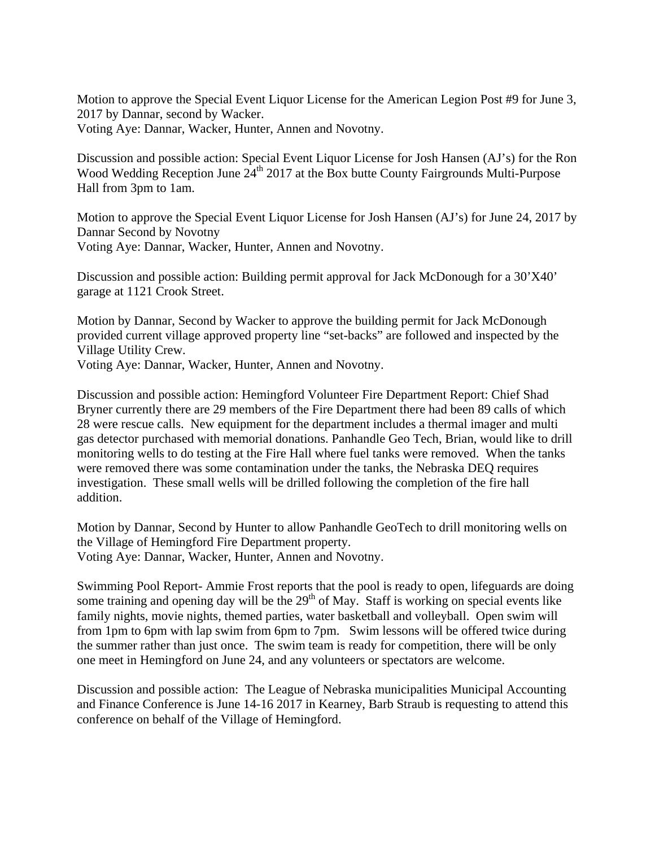Motion to approve the Special Event Liquor License for the American Legion Post #9 for June 3, 2017 by Dannar, second by Wacker. Voting Aye: Dannar, Wacker, Hunter, Annen and Novotny.

Discussion and possible action: Special Event Liquor License for Josh Hansen (AJ's) for the Ron Wood Wedding Reception June 24<sup>th</sup> 2017 at the Box butte County Fairgrounds Multi-Purpose Hall from 3pm to 1am.

Motion to approve the Special Event Liquor License for Josh Hansen (AJ's) for June 24, 2017 by Dannar Second by Novotny Voting Aye: Dannar, Wacker, Hunter, Annen and Novotny.

Discussion and possible action: Building permit approval for Jack McDonough for a 30'X40' garage at 1121 Crook Street.

Motion by Dannar, Second by Wacker to approve the building permit for Jack McDonough provided current village approved property line "set-backs" are followed and inspected by the Village Utility Crew.

Voting Aye: Dannar, Wacker, Hunter, Annen and Novotny.

Discussion and possible action: Hemingford Volunteer Fire Department Report: Chief Shad Bryner currently there are 29 members of the Fire Department there had been 89 calls of which 28 were rescue calls. New equipment for the department includes a thermal imager and multi gas detector purchased with memorial donations. Panhandle Geo Tech, Brian, would like to drill monitoring wells to do testing at the Fire Hall where fuel tanks were removed. When the tanks were removed there was some contamination under the tanks, the Nebraska DEQ requires investigation. These small wells will be drilled following the completion of the fire hall addition.

Motion by Dannar, Second by Hunter to allow Panhandle GeoTech to drill monitoring wells on the Village of Hemingford Fire Department property. Voting Aye: Dannar, Wacker, Hunter, Annen and Novotny.

Swimming Pool Report- Ammie Frost reports that the pool is ready to open, lifeguards are doing some training and opening day will be the  $29<sup>th</sup>$  of May. Staff is working on special events like family nights, movie nights, themed parties, water basketball and volleyball. Open swim will from 1pm to 6pm with lap swim from 6pm to 7pm. Swim lessons will be offered twice during the summer rather than just once. The swim team is ready for competition, there will be only one meet in Hemingford on June 24, and any volunteers or spectators are welcome.

Discussion and possible action: The League of Nebraska municipalities Municipal Accounting and Finance Conference is June 14-16 2017 in Kearney, Barb Straub is requesting to attend this conference on behalf of the Village of Hemingford.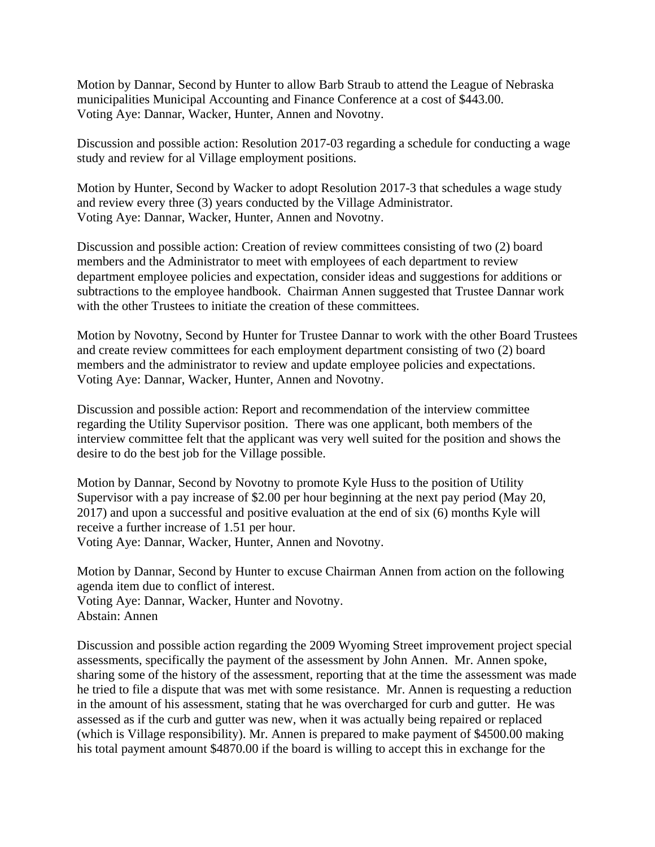Motion by Dannar, Second by Hunter to allow Barb Straub to attend the League of Nebraska municipalities Municipal Accounting and Finance Conference at a cost of \$443.00. Voting Aye: Dannar, Wacker, Hunter, Annen and Novotny.

Discussion and possible action: Resolution 2017-03 regarding a schedule for conducting a wage study and review for al Village employment positions.

Motion by Hunter, Second by Wacker to adopt Resolution 2017-3 that schedules a wage study and review every three (3) years conducted by the Village Administrator. Voting Aye: Dannar, Wacker, Hunter, Annen and Novotny.

Discussion and possible action: Creation of review committees consisting of two (2) board members and the Administrator to meet with employees of each department to review department employee policies and expectation, consider ideas and suggestions for additions or subtractions to the employee handbook. Chairman Annen suggested that Trustee Dannar work with the other Trustees to initiate the creation of these committees.

Motion by Novotny, Second by Hunter for Trustee Dannar to work with the other Board Trustees and create review committees for each employment department consisting of two (2) board members and the administrator to review and update employee policies and expectations. Voting Aye: Dannar, Wacker, Hunter, Annen and Novotny.

Discussion and possible action: Report and recommendation of the interview committee regarding the Utility Supervisor position. There was one applicant, both members of the interview committee felt that the applicant was very well suited for the position and shows the desire to do the best job for the Village possible.

Motion by Dannar, Second by Novotny to promote Kyle Huss to the position of Utility Supervisor with a pay increase of \$2.00 per hour beginning at the next pay period (May 20, 2017) and upon a successful and positive evaluation at the end of six (6) months Kyle will receive a further increase of 1.51 per hour. Voting Aye: Dannar, Wacker, Hunter, Annen and Novotny.

Motion by Dannar, Second by Hunter to excuse Chairman Annen from action on the following agenda item due to conflict of interest.

Voting Aye: Dannar, Wacker, Hunter and Novotny. Abstain: Annen

Discussion and possible action regarding the 2009 Wyoming Street improvement project special assessments, specifically the payment of the assessment by John Annen. Mr. Annen spoke, sharing some of the history of the assessment, reporting that at the time the assessment was made he tried to file a dispute that was met with some resistance. Mr. Annen is requesting a reduction in the amount of his assessment, stating that he was overcharged for curb and gutter. He was assessed as if the curb and gutter was new, when it was actually being repaired or replaced (which is Village responsibility). Mr. Annen is prepared to make payment of \$4500.00 making his total payment amount \$4870.00 if the board is willing to accept this in exchange for the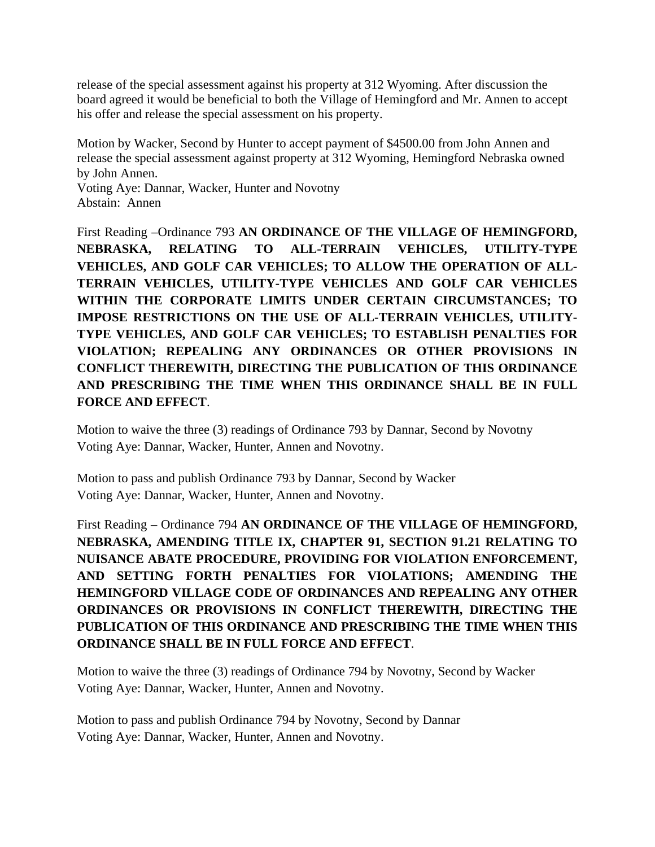release of the special assessment against his property at 312 Wyoming. After discussion the board agreed it would be beneficial to both the Village of Hemingford and Mr. Annen to accept his offer and release the special assessment on his property.

Motion by Wacker, Second by Hunter to accept payment of \$4500.00 from John Annen and release the special assessment against property at 312 Wyoming, Hemingford Nebraska owned by John Annen.

Voting Aye: Dannar, Wacker, Hunter and Novotny Abstain: Annen

First Reading –Ordinance 793 **AN ORDINANCE OF THE VILLAGE OF HEMINGFORD, NEBRASKA, RELATING TO ALL-TERRAIN VEHICLES, UTILITY-TYPE VEHICLES, AND GOLF CAR VEHICLES; TO ALLOW THE OPERATION OF ALL-TERRAIN VEHICLES, UTILITY-TYPE VEHICLES AND GOLF CAR VEHICLES WITHIN THE CORPORATE LIMITS UNDER CERTAIN CIRCUMSTANCES; TO IMPOSE RESTRICTIONS ON THE USE OF ALL-TERRAIN VEHICLES, UTILITY-TYPE VEHICLES, AND GOLF CAR VEHICLES; TO ESTABLISH PENALTIES FOR VIOLATION; REPEALING ANY ORDINANCES OR OTHER PROVISIONS IN CONFLICT THEREWITH, DIRECTING THE PUBLICATION OF THIS ORDINANCE AND PRESCRIBING THE TIME WHEN THIS ORDINANCE SHALL BE IN FULL FORCE AND EFFECT**.

Motion to waive the three (3) readings of Ordinance 793 by Dannar, Second by Novotny Voting Aye: Dannar, Wacker, Hunter, Annen and Novotny.

Motion to pass and publish Ordinance 793 by Dannar, Second by Wacker Voting Aye: Dannar, Wacker, Hunter, Annen and Novotny.

First Reading – Ordinance 794 **AN ORDINANCE OF THE VILLAGE OF HEMINGFORD, NEBRASKA, AMENDING TITLE IX, CHAPTER 91, SECTION 91.21 RELATING TO NUISANCE ABATE PROCEDURE, PROVIDING FOR VIOLATION ENFORCEMENT, AND SETTING FORTH PENALTIES FOR VIOLATIONS; AMENDING THE HEMINGFORD VILLAGE CODE OF ORDINANCES AND REPEALING ANY OTHER ORDINANCES OR PROVISIONS IN CONFLICT THEREWITH, DIRECTING THE PUBLICATION OF THIS ORDINANCE AND PRESCRIBING THE TIME WHEN THIS ORDINANCE SHALL BE IN FULL FORCE AND EFFECT**.

Motion to waive the three (3) readings of Ordinance 794 by Novotny, Second by Wacker Voting Aye: Dannar, Wacker, Hunter, Annen and Novotny.

Motion to pass and publish Ordinance 794 by Novotny, Second by Dannar Voting Aye: Dannar, Wacker, Hunter, Annen and Novotny.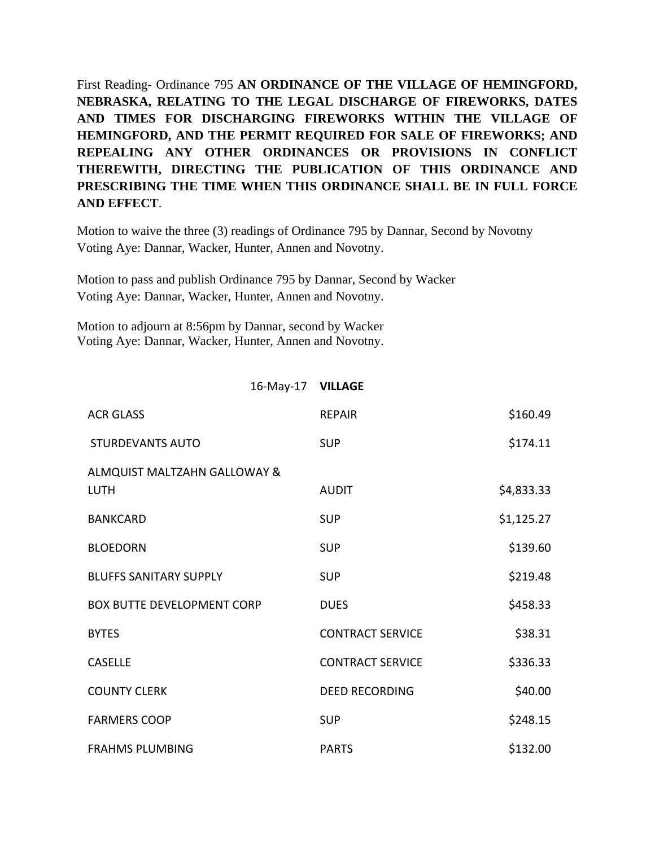First Reading- Ordinance 795 **AN ORDINANCE OF THE VILLAGE OF HEMINGFORD, NEBRASKA, RELATING TO THE LEGAL DISCHARGE OF FIREWORKS, DATES AND TIMES FOR DISCHARGING FIREWORKS WITHIN THE VILLAGE OF HEMINGFORD, AND THE PERMIT REQUIRED FOR SALE OF FIREWORKS; AND REPEALING ANY OTHER ORDINANCES OR PROVISIONS IN CONFLICT THEREWITH, DIRECTING THE PUBLICATION OF THIS ORDINANCE AND PRESCRIBING THE TIME WHEN THIS ORDINANCE SHALL BE IN FULL FORCE AND EFFECT**.

Motion to waive the three (3) readings of Ordinance 795 by Dannar, Second by Novotny Voting Aye: Dannar, Wacker, Hunter, Annen and Novotny.

Motion to pass and publish Ordinance 795 by Dannar, Second by Wacker Voting Aye: Dannar, Wacker, Hunter, Annen and Novotny.

Motion to adjourn at 8:56pm by Dannar, second by Wacker Voting Aye: Dannar, Wacker, Hunter, Annen and Novotny.

## 16‐May‐17 **VILLAGE**

| <b>ACR GLASS</b>                            | <b>RFPAIR</b>           | \$160.49   |
|---------------------------------------------|-------------------------|------------|
| <b>STURDEVANTS AUTO</b>                     | <b>SUP</b>              | \$174.11   |
| ALMQUIST MALTZAHN GALLOWAY &<br><b>LUTH</b> | <b>AUDIT</b>            | \$4,833.33 |
| <b>BANKCARD</b>                             | <b>SUP</b>              | \$1,125.27 |
| <b>BLOEDORN</b>                             | <b>SUP</b>              | \$139.60   |
| <b>BLUFFS SANITARY SUPPLY</b>               | <b>SUP</b>              | \$219.48   |
| <b>BOX BUTTE DEVELOPMENT CORP</b>           | <b>DUES</b>             | \$458.33   |
| <b>BYTES</b>                                | <b>CONTRACT SERVICE</b> | \$38.31    |
| <b>CASELLE</b>                              | <b>CONTRACT SERVICE</b> | \$336.33   |
| <b>COUNTY CLERK</b>                         | <b>DEED RECORDING</b>   | \$40.00    |
| <b>FARMERS COOP</b>                         | <b>SUP</b>              | \$248.15   |
| <b>FRAHMS PLUMBING</b>                      | <b>PARTS</b>            | \$132.00   |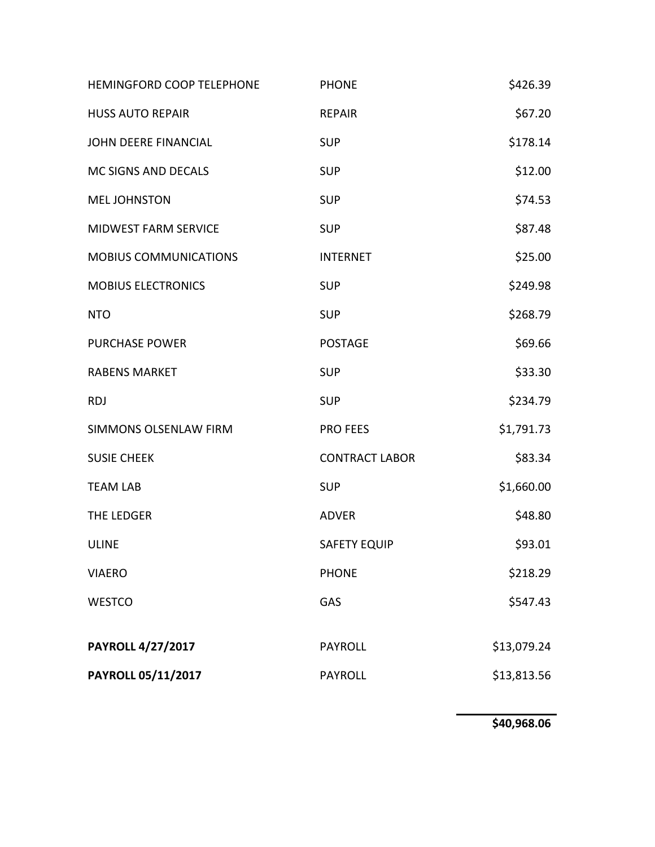| PAYROLL 05/11/2017           | <b>PAYROLL</b>        | \$13,813.56 |
|------------------------------|-----------------------|-------------|
| <b>PAYROLL 4/27/2017</b>     | <b>PAYROLL</b>        | \$13,079.24 |
| <b>WESTCO</b>                | GAS                   | \$547.43    |
| <b>VIAERO</b>                | <b>PHONE</b>          | \$218.29    |
| <b>ULINE</b>                 | <b>SAFETY EQUIP</b>   | \$93.01     |
| THE LEDGER                   | <b>ADVER</b>          | \$48.80     |
| <b>TEAM LAB</b>              | <b>SUP</b>            | \$1,660.00  |
| <b>SUSIE CHEEK</b>           | <b>CONTRACT LABOR</b> | \$83.34     |
| SIMMONS OLSENLAW FIRM        | <b>PRO FEES</b>       | \$1,791.73  |
| <b>RDJ</b>                   | <b>SUP</b>            | \$234.79    |
| <b>RABENS MARKET</b>         | <b>SUP</b>            | \$33.30     |
| <b>PURCHASE POWER</b>        | <b>POSTAGE</b>        | \$69.66     |
| <b>NTO</b>                   | <b>SUP</b>            | \$268.79    |
| <b>MOBIUS ELECTRONICS</b>    | <b>SUP</b>            | \$249.98    |
| <b>MOBIUS COMMUNICATIONS</b> | <b>INTERNET</b>       | \$25.00     |
| MIDWEST FARM SERVICE         | <b>SUP</b>            | \$87.48     |
| <b>MEL JOHNSTON</b>          | <b>SUP</b>            | \$74.53     |
| MC SIGNS AND DECALS          | <b>SUP</b>            | \$12.00     |
| <b>JOHN DEERE FINANCIAL</b>  | <b>SUP</b>            | \$178.14    |
| <b>HUSS AUTO REPAIR</b>      | <b>REPAIR</b>         | \$67.20     |
| HEMINGFORD COOP TELEPHONE    | <b>PHONE</b>          | \$426.39    |

**\$40,968.06**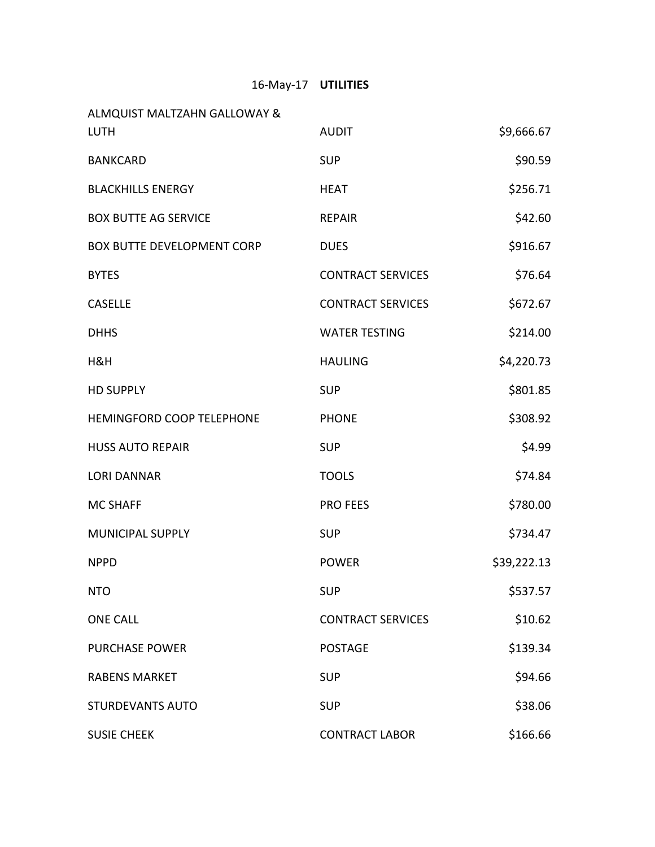## 16‐May‐17 **UTILITIES**

| ALMQUIST MALTZAHN GALLOWAY &      |                          |             |
|-----------------------------------|--------------------------|-------------|
| <b>LUTH</b>                       | <b>AUDIT</b>             | \$9,666.67  |
| <b>BANKCARD</b>                   | <b>SUP</b>               | \$90.59     |
| <b>BLACKHILLS ENERGY</b>          | <b>HEAT</b>              | \$256.71    |
| <b>BOX BUTTE AG SERVICE</b>       | <b>REPAIR</b>            | \$42.60     |
| <b>BOX BUTTE DEVELOPMENT CORP</b> | <b>DUES</b>              | \$916.67    |
| <b>BYTES</b>                      | <b>CONTRACT SERVICES</b> | \$76.64     |
| <b>CASELLE</b>                    | <b>CONTRACT SERVICES</b> | \$672.67    |
| <b>DHHS</b>                       | <b>WATER TESTING</b>     | \$214.00    |
| H&H                               | <b>HAULING</b>           | \$4,220.73  |
| <b>HD SUPPLY</b>                  | <b>SUP</b>               | \$801.85    |
| HEMINGFORD COOP TELEPHONE         | <b>PHONE</b>             | \$308.92    |
| <b>HUSS AUTO REPAIR</b>           | <b>SUP</b>               | \$4.99      |
| <b>LORI DANNAR</b>                | <b>TOOLS</b>             | \$74.84     |
| <b>MC SHAFF</b>                   | <b>PRO FEES</b>          | \$780.00    |
| <b>MUNICIPAL SUPPLY</b>           | <b>SUP</b>               | \$734.47    |
| <b>NPPD</b>                       | <b>POWER</b>             | \$39,222.13 |
| <b>NTO</b>                        | <b>SUP</b>               | \$537.57    |
| <b>ONE CALL</b>                   | <b>CONTRACT SERVICES</b> | \$10.62     |
| <b>PURCHASE POWER</b>             | <b>POSTAGE</b>           | \$139.34    |
| <b>RABENS MARKET</b>              | <b>SUP</b>               | \$94.66     |
| <b>STURDEVANTS AUTO</b>           | <b>SUP</b>               | \$38.06     |
| <b>SUSIE CHEEK</b>                | <b>CONTRACT LABOR</b>    | \$166.66    |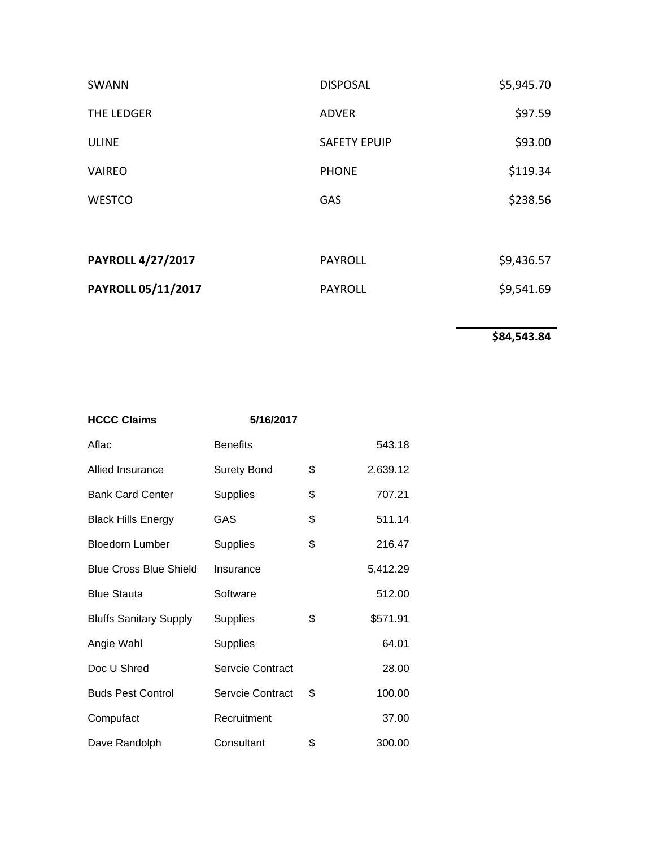| SWANN                    | <b>DISPOSAL</b>     | \$5,945.70 |
|--------------------------|---------------------|------------|
| THE LEDGER               | <b>ADVER</b>        | \$97.59    |
| <b>ULINE</b>             | <b>SAFETY EPUIP</b> | \$93.00    |
| <b>VAIREO</b>            | <b>PHONE</b>        | \$119.34   |
| <b>WESTCO</b>            | GAS                 | \$238.56   |
|                          |                     |            |
| <b>PAYROLL 4/27/2017</b> | <b>PAYROLL</b>      | \$9,436.57 |
| PAYROLL 05/11/2017       | <b>PAYROLL</b>      | \$9,541.69 |

**\$84,543.84**

| <b>HCCC Claims</b>            | 5/16/2017          |                |
|-------------------------------|--------------------|----------------|
| Aflac                         | <b>Benefits</b>    | 543.18         |
| Allied Insurance              | <b>Surety Bond</b> | \$<br>2,639.12 |
| <b>Bank Card Center</b>       | <b>Supplies</b>    | \$<br>707.21   |
| <b>Black Hills Energy</b>     | GAS                | \$<br>511.14   |
| <b>Bloedorn Lumber</b>        | <b>Supplies</b>    | \$<br>216.47   |
| <b>Blue Cross Blue Shield</b> | Insurance          | 5,412.29       |
| <b>Blue Stauta</b>            | Software           | 512.00         |
| <b>Bluffs Sanitary Supply</b> | <b>Supplies</b>    | \$<br>\$571.91 |
| Angie Wahl                    | <b>Supplies</b>    | 64.01          |
| Doc U Shred                   | Servcie Contract   | 28.00          |
| <b>Buds Pest Control</b>      | Servcie Contract   | \$<br>100.00   |
| Compufact                     | Recruitment        | 37.00          |
| Dave Randolph                 | Consultant         | \$<br>300.00   |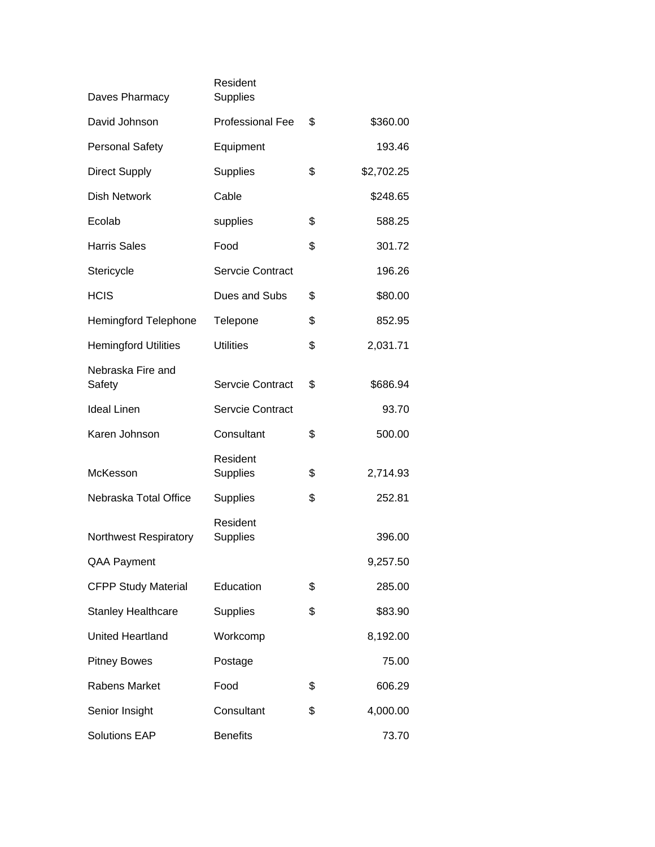| Daves Pharmacy               | Resident<br><b>Supplies</b> |                  |
|------------------------------|-----------------------------|------------------|
| David Johnson                | <b>Professional Fee</b>     | \$<br>\$360.00   |
| <b>Personal Safety</b>       | Equipment                   | 193.46           |
| <b>Direct Supply</b>         | Supplies                    | \$<br>\$2,702.25 |
| Dish Network                 | Cable                       | \$248.65         |
| Ecolab                       | supplies                    | \$<br>588.25     |
| <b>Harris Sales</b>          | Food                        | \$<br>301.72     |
| Stericycle                   | <b>Servcie Contract</b>     | 196.26           |
| <b>HCIS</b>                  | Dues and Subs               | \$<br>\$80.00    |
| <b>Hemingford Telephone</b>  | Telepone                    | \$<br>852.95     |
| <b>Hemingford Utilities</b>  | <b>Utilities</b>            | \$<br>2,031.71   |
| Nebraska Fire and<br>Safety  | <b>Servcie Contract</b>     | \$<br>\$686.94   |
| <b>Ideal Linen</b>           | Servcie Contract            | 93.70            |
| Karen Johnson                | Consultant                  | \$<br>500.00     |
| McKesson                     | Resident<br><b>Supplies</b> | \$<br>2,714.93   |
| Nebraska Total Office        | <b>Supplies</b>             | \$<br>252.81     |
| <b>Northwest Respiratory</b> | Resident<br><b>Supplies</b> | 396.00           |
| QAA Payment                  |                             | 9,257.50         |
| <b>CFPP Study Material</b>   | Education                   | \$<br>285.00     |
| <b>Stanley Healthcare</b>    | <b>Supplies</b>             | \$<br>\$83.90    |
| United Heartland             | Workcomp                    | 8,192.00         |
| <b>Pitney Bowes</b>          | Postage                     | 75.00            |
| <b>Rabens Market</b>         | Food                        | \$<br>606.29     |
| Senior Insight               | Consultant                  | \$<br>4,000.00   |
| <b>Solutions EAP</b>         | <b>Benefits</b>             | 73.70            |